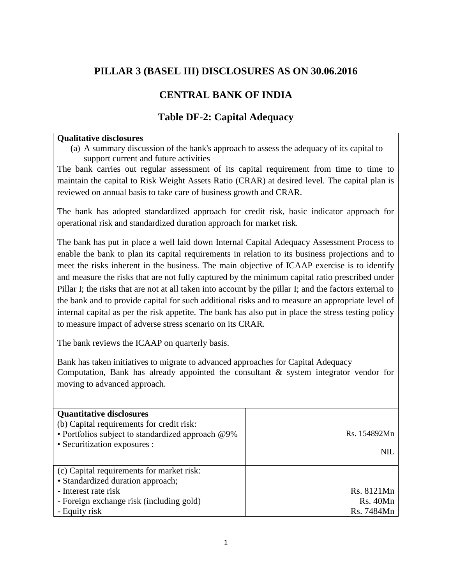## **PILLAR 3 (BASEL III) DISCLOSURES AS ON 30.06.2016**

## **CENTRAL BANK OF INDIA**

### **Table DF-2: Capital Adequacy**

#### **Qualitative disclosures**

(a) A summary discussion of the bank's approach to assess the adequacy of its capital to support current and future activities

The bank carries out regular assessment of its capital requirement from time to time to maintain the capital to Risk Weight Assets Ratio (CRAR) at desired level. The capital plan is reviewed on annual basis to take care of business growth and CRAR.

The bank has adopted standardized approach for credit risk, basic indicator approach for operational risk and standardized duration approach for market risk.

The bank has put in place a well laid down Internal Capital Adequacy Assessment Process to enable the bank to plan its capital requirements in relation to its business projections and to meet the risks inherent in the business. The main objective of ICAAP exercise is to identify and measure the risks that are not fully captured by the minimum capital ratio prescribed under Pillar I; the risks that are not at all taken into account by the pillar I; and the factors external to the bank and to provide capital for such additional risks and to measure an appropriate level of internal capital as per the risk appetite. The bank has also put in place the stress testing policy to measure impact of adverse stress scenario on its CRAR.

The bank reviews the ICAAP on quarterly basis.

Bank has taken initiatives to migrate to advanced approaches for Capital Adequacy Computation, Bank has already appointed the consultant & system integrator vendor for moving to advanced approach.

| <b>Quantitative disclosures</b><br>(b) Capital requirements for credit risk:<br>• Portfolios subject to standardized approach @9%<br>• Securitization exposures : | Rs. 154892Mn<br><b>NIL</b> |
|-------------------------------------------------------------------------------------------------------------------------------------------------------------------|----------------------------|
| (c) Capital requirements for market risk:<br>• Standardized duration approach;                                                                                    |                            |
| - Interest rate risk                                                                                                                                              | Rs. 8121Mn                 |
| - Foreign exchange risk (including gold)                                                                                                                          | Rs.40Mn                    |
| - Equity risk                                                                                                                                                     | Rs. 7484Mn                 |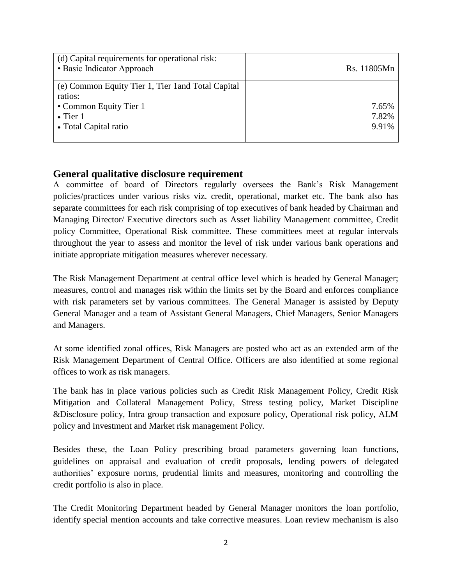| (d) Capital requirements for operational risk:<br>• Basic Indicator Approach | Rs. 11805Mn    |
|------------------------------------------------------------------------------|----------------|
| (e) Common Equity Tier 1, Tier 1 and Total Capital<br>ratios:                |                |
| • Common Equity Tier 1                                                       | 7.65%          |
| $\bullet$ Tier 1<br>• Total Capital ratio                                    | 7.82%<br>9.91% |
|                                                                              |                |

### **General qualitative disclosure requirement**

A committee of board of Directors regularly oversees the Bank's Risk Management policies/practices under various risks viz. credit, operational, market etc. The bank also has separate committees for each risk comprising of top executives of bank headed by Chairman and Managing Director/ Executive directors such as Asset liability Management committee, Credit policy Committee, Operational Risk committee. These committees meet at regular intervals throughout the year to assess and monitor the level of risk under various bank operations and initiate appropriate mitigation measures wherever necessary.

The Risk Management Department at central office level which is headed by General Manager; measures, control and manages risk within the limits set by the Board and enforces compliance with risk parameters set by various committees. The General Manager is assisted by Deputy General Manager and a team of Assistant General Managers, Chief Managers, Senior Managers and Managers.

At some identified zonal offices, Risk Managers are posted who act as an extended arm of the Risk Management Department of Central Office. Officers are also identified at some regional offices to work as risk managers.

The bank has in place various policies such as Credit Risk Management Policy, Credit Risk Mitigation and Collateral Management Policy, Stress testing policy, Market Discipline &Disclosure policy, Intra group transaction and exposure policy, Operational risk policy, ALM policy and Investment and Market risk management Policy.

Besides these, the Loan Policy prescribing broad parameters governing loan functions, guidelines on appraisal and evaluation of credit proposals, lending powers of delegated authorities' exposure norms, prudential limits and measures, monitoring and controlling the credit portfolio is also in place.

The Credit Monitoring Department headed by General Manager monitors the loan portfolio, identify special mention accounts and take corrective measures. Loan review mechanism is also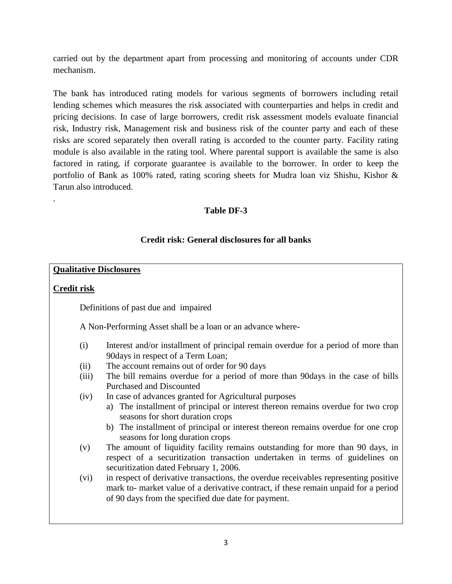carried out by the department apart from processing and monitoring of accounts under CDR mechanism.

The bank has introduced rating models for various segments of borrowers including retail lending schemes which measures the risk associated with counterparties and helps in credit and pricing decisions. In case of large borrowers, credit risk assessment models evaluate financial risk, Industry risk, Management risk and business risk of the counter party and each of these risks are scored separately then overall rating is accorded to the counter party. Facility rating module is also available in the rating tool. Where parental support is available the same is also factored in rating, if corporate guarantee is available to the borrower. In order to keep the portfolio of Bank as 100% rated, rating scoring sheets for Mudra loan viz Shishu, Kishor & Tarun also introduced.

### **Table DF-3**

### **Credit risk: General disclosures for all banks**

#### **Qualitative Disclosures**

#### **Credit risk**

.

Definitions of past due and impaired

A Non-Performing Asset shall be a loan or an advance where-

- (i) Interest and/or installment of principal remain overdue for a period of more than 90days in respect of a Term Loan;
- (ii) The account remains out of order for 90 days
- (iii) The bill remains overdue for a period of more than 90days in the case of bills Purchased and Discounted
- (iv) In case of advances granted for Agricultural purposes
	- a) The installment of principal or interest thereon remains overdue for two crop seasons for short duration crops
	- b) The installment of principal or interest thereon remains overdue for one crop seasons for long duration crops
- (v) The amount of liquidity facility remains outstanding for more than 90 days, in respect of a securitization transaction undertaken in terms of guidelines on securitization dated February 1, 2006.
- (vi) in respect of derivative transactions, the overdue receivables representing positive mark to- market value of a derivative contract, if these remain unpaid for a period of 90 days from the specified due date for payment.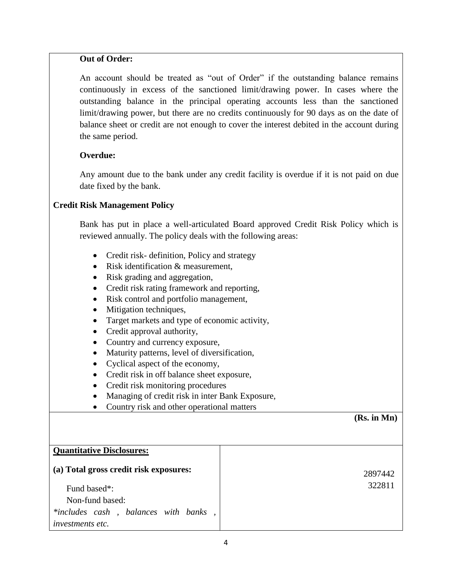#### **Out of Order:**

 An account should be treated as "out of Order" if the outstanding balance remains continuously in excess of the sanctioned limit/drawing power. In cases where the outstanding balance in the principal operating accounts less than the sanctioned limit/drawing power, but there are no credits continuously for 90 days as on the date of balance sheet or credit are not enough to cover the interest debited in the account during the same period.

#### **Overdue:**

Any amount due to the bank under any credit facility is overdue if it is not paid on due date fixed by the bank.

#### **Credit Risk Management Policy**

Bank has put in place a well-articulated Board approved Credit Risk Policy which is reviewed annually. The policy deals with the following areas:

- Credit risk- definition, Policy and strategy
- Risk identification & measurement.
- Risk grading and aggregation,
- Credit risk rating framework and reporting,
- Risk control and portfolio management,
- Mitigation techniques,
- Target markets and type of economic activity,
- Credit approval authority,
- Country and currency exposure,
- Maturity patterns, level of diversification,
- Cyclical aspect of the economy,
- Credit risk in off balance sheet exposure,
- Credit risk monitoring procedures
- Managing of credit risk in inter Bank Exposure,
- Country risk and other operational matters

#### **(Rs. in Mn)**

| <b>Quantitative Disclosures:</b>       |         |
|----------------------------------------|---------|
| (a) Total gross credit risk exposures: | 2897442 |
| Fund based*:                           | 322811  |
| Non-fund based:                        |         |
| *includes cash, balances with banks,   |         |
| <i>investments etc.</i>                |         |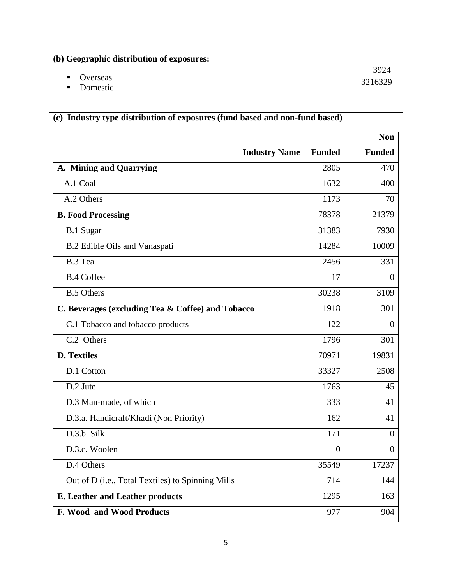| (b) Geographic distribution of exposures:                                   |                      |                |                |
|-----------------------------------------------------------------------------|----------------------|----------------|----------------|
| Overseas<br>п                                                               |                      |                | 3924           |
| Domestic<br>■                                                               |                      |                | 3216329        |
|                                                                             |                      |                |                |
| (c) Industry type distribution of exposures (fund based and non-fund based) |                      |                |                |
|                                                                             |                      |                | <b>Non</b>     |
|                                                                             | <b>Industry Name</b> | <b>Funded</b>  | <b>Funded</b>  |
| A. Mining and Quarrying                                                     |                      | 2805           | 470            |
| A.1 Coal                                                                    |                      | 1632           | 400            |
| A.2 Others                                                                  |                      | 1173           | 70             |
| <b>B. Food Processing</b>                                                   |                      | 78378          | 21379          |
| <b>B.1 Sugar</b>                                                            |                      | 31383          | 7930           |
| B.2 Edible Oils and Vanaspati                                               |                      | 14284          | 10009          |
| B.3 Tea                                                                     |                      | 2456           | 331            |
| <b>B.4 Coffee</b>                                                           |                      | 17             | $\theta$       |
| <b>B.5 Others</b>                                                           |                      | 30238          | 3109           |
| C. Beverages (excluding Tea & Coffee) and Tobacco                           |                      | 1918           | 301            |
| C.1 Tobacco and tobacco products                                            |                      | 122            | $\theta$       |
| C.2 Others                                                                  |                      | 1796           | 301            |
| <b>D. Textiles</b>                                                          |                      | 70971          | 19831          |
| D.1 Cotton                                                                  |                      | 33327          | 2508           |
| D.2 Jute                                                                    |                      | 1763           | 45             |
| D.3 Man-made, of which                                                      |                      | 333            | 41             |
| D.3.a. Handicraft/Khadi (Non Priority)                                      |                      | 162            | 41             |
| D.3.b. Silk                                                                 |                      | 171            | $\theta$       |
| D.3.c. Woolen                                                               |                      | $\overline{0}$ | $\overline{0}$ |
| D.4 Others                                                                  |                      | 35549          | 17237          |
| Out of D (i.e., Total Textiles) to Spinning Mills                           |                      | 714            | 144            |
| <b>E. Leather and Leather products</b>                                      |                      | 1295           | 163            |
| <b>F. Wood and Wood Products</b>                                            |                      | 977            | 904            |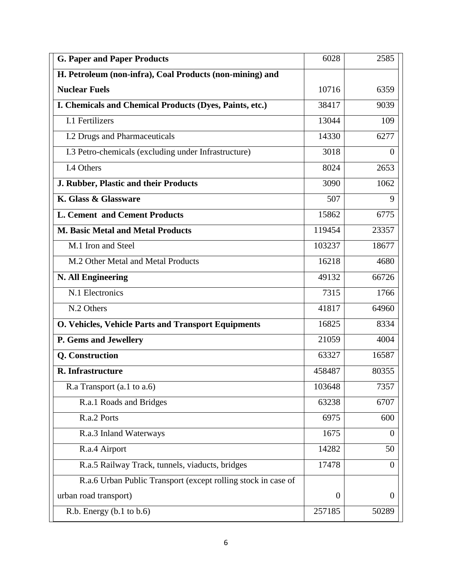| <b>G. Paper and Paper Products</b>                            | 6028           | 2585           |
|---------------------------------------------------------------|----------------|----------------|
| H. Petroleum (non-infra), Coal Products (non-mining) and      |                |                |
| <b>Nuclear Fuels</b>                                          | 10716          | 6359           |
| I. Chemicals and Chemical Products (Dyes, Paints, etc.)       | 38417          | 9039           |
| I.1 Fertilizers                                               | 13044          | 109            |
| <b>I.2 Drugs and Pharmaceuticals</b>                          | 14330          | 6277           |
| I.3 Petro-chemicals (excluding under Infrastructure)          | 3018           | $\theta$       |
| I.4 Others                                                    | 8024           | 2653           |
| J. Rubber, Plastic and their Products                         | 3090           | 1062           |
| K. Glass & Glassware                                          | 507            | 9              |
| <b>L. Cement and Cement Products</b>                          | 15862          | 6775           |
| <b>M. Basic Metal and Metal Products</b>                      | 119454         | 23357          |
| M.1 Iron and Steel                                            | 103237         | 18677          |
| M.2 Other Metal and Metal Products                            | 16218          | 4680           |
| <b>N. All Engineering</b>                                     | 49132          | 66726          |
| N.1 Electronics                                               | 7315           | 1766           |
| N.2 Others                                                    | 41817          | 64960          |
| O. Vehicles, Vehicle Parts and Transport Equipments           | 16825          | 8334           |
| P. Gems and Jewellery                                         | 21059          | 4004           |
| Q. Construction                                               | 63327          | 16587          |
| R. Infrastructure                                             | 458487         | 80355          |
| R.a Transport $(a.1 \text{ to } a.6)$                         | 103648         | 7357           |
| R.a.1 Roads and Bridges                                       | 63238          | 6707           |
| R.a.2 Ports                                                   | 6975           | 600            |
| R.a.3 Inland Waterways                                        | 1675           | $\overline{0}$ |
| R.a.4 Airport                                                 | 14282          | 50             |
| R.a.5 Railway Track, tunnels, viaducts, bridges               | 17478          | $\overline{0}$ |
| R.a.6 Urban Public Transport (except rolling stock in case of |                |                |
| urban road transport)                                         | $\overline{0}$ | $\theta$       |
| R.b. Energy (b.1 to b.6)                                      | 257185         | 50289          |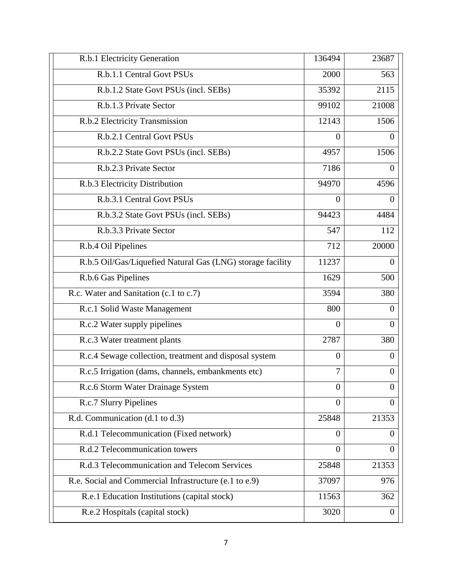| R.b.1.1 Central Govt PSUs                                  | 2000           | 563            |
|------------------------------------------------------------|----------------|----------------|
| R.b.1.2 State Govt PSUs (incl. SEBs)                       | 35392          | 2115           |
| R.b.1.3 Private Sector                                     | 99102          | 21008          |
| R.b.2 Electricity Transmission                             | 12143          | 1506           |
| R.b.2.1 Central Govt PSUs                                  | $\Omega$       | $\theta$       |
| R.b.2.2 State Govt PSUs (incl. SEBs)                       | 4957           | 1506           |
| R.b.2.3 Private Sector                                     | 7186           | $\theta$       |
| R.b.3 Electricity Distribution                             | 94970          | 4596           |
| R.b.3.1 Central Govt PSUs                                  | $\Omega$       | $\theta$       |
| R.b.3.2 State Govt PSUs (incl. SEBs)                       | 94423          | 4484           |
| R.b.3.3 Private Sector                                     | 547            | 112            |
| R.b.4 Oil Pipelines                                        | 712            | 20000          |
| R.b.5 Oil/Gas/Liquefied Natural Gas (LNG) storage facility | 11237          | $\Omega$       |
| R.b.6 Gas Pipelines                                        | 1629           | 500            |
| R.c. Water and Sanitation (c.1 to c.7)                     | 3594           | 380            |
| R.c.1 Solid Waste Management                               | 800            | $\theta$       |
| R.c.2 Water supply pipelines                               | $\overline{0}$ | $\theta$       |
| R.c.3 Water treatment plants                               | 2787           | 380            |
| R.c.4 Sewage collection, treatment and disposal system     | $\overline{0}$ | $\theta$       |
| R.c.5 Irrigation (dams, channels, embankments etc)         | 7              | $\Omega$       |
| R.c.6 Storm Water Drainage System                          | $\Omega$       | $\theta$       |
| R.c.7 Slurry Pipelines                                     | $\Omega$       | $\theta$       |
| R.d. Communication (d.1 to d.3)                            | 25848          | 21353          |
| R.d.1 Telecommunication (Fixed network)                    | $\Omega$       | $\theta$       |
| R.d.2 Telecommunication towers                             | $\Omega$       | $\Omega$       |
| R.d.3 Telecommunication and Telecom Services               | 25848          | 21353          |
| R.e. Social and Commercial Infrastructure (e.1 to e.9)     | 37097          | 976            |
| R.e.1 Education Institutions (capital stock)               | 11563          | 362            |
| R.e.2 Hospitals (capital stock)                            | 3020           | $\overline{0}$ |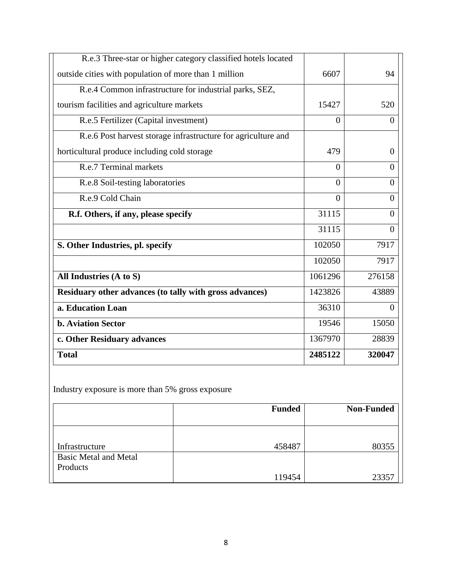| R.e.3 Three-star or higher category classified hotels located |          |                |
|---------------------------------------------------------------|----------|----------------|
| outside cities with population of more than 1 million         | 6607     | 94             |
| R.e.4 Common infrastructure for industrial parks, SEZ,        |          |                |
| tourism facilities and agriculture markets                    | 15427    | 520            |
| R.e.5 Fertilizer (Capital investment)                         | $\theta$ | $\theta$       |
| R.e.6 Post harvest storage infrastructure for agriculture and |          |                |
| horticultural produce including cold storage                  | 479      | $\overline{0}$ |
| R.e.7 Terminal markets                                        | $\Omega$ | $\theta$       |
| R.e.8 Soil-testing laboratories                               | $\theta$ | $\overline{0}$ |
| R.e.9 Cold Chain                                              | $\theta$ | $\overline{0}$ |
| R.f. Others, if any, please specify                           | 31115    | $\overline{0}$ |
|                                                               | 31115    | $\overline{0}$ |
| S. Other Industries, pl. specify                              | 102050   | 7917           |
|                                                               | 102050   | 7917           |
| All Industries (A to S)                                       | 1061296  | 276158         |
| Residuary other advances (to tally with gross advances)       | 1423826  | 43889          |
| a. Education Loan                                             | 36310    | $\Omega$       |
| <b>b. Aviation Sector</b>                                     | 19546    | 15050          |
| c. Other Residuary advances                                   | 1367970  | 28839          |
| <b>Total</b>                                                  | 2485122  | 320047         |

Industry exposure is more than 5% gross exposure

|                              | <b>Funded</b> | <b>Non-Funded</b> |
|------------------------------|---------------|-------------------|
|                              |               |                   |
|                              |               |                   |
| Infrastructure               | 458487        | 80355             |
| <b>Basic Metal and Metal</b> |               |                   |
| Products                     |               |                   |
|                              | 119454        | 23357             |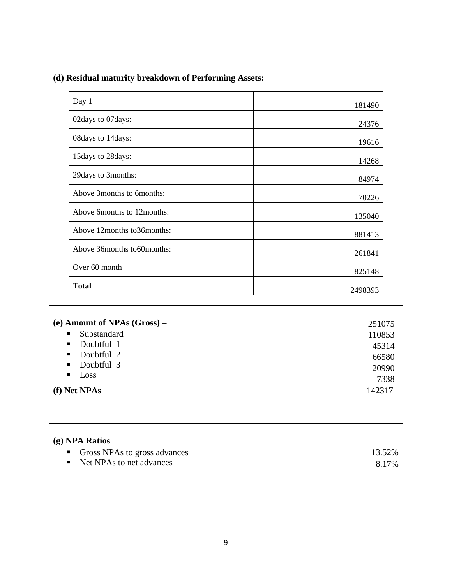| Day 1                                                                                                                  | 181490                                              |
|------------------------------------------------------------------------------------------------------------------------|-----------------------------------------------------|
| 02days to 07days:                                                                                                      | 24376                                               |
| 08days to 14days:                                                                                                      | 19616                                               |
| 15days to 28days:                                                                                                      | 14268                                               |
| 29days to 3months:                                                                                                     | 84974                                               |
| Above 3months to 6months:                                                                                              | 70226                                               |
| Above 6months to 12months:                                                                                             | 135040                                              |
| Above 12months to36months:                                                                                             | 881413                                              |
| Above 36months to60months:                                                                                             | 261841                                              |
| Over 60 month                                                                                                          | 825148                                              |
| <b>Total</b>                                                                                                           | 2498393                                             |
| (e) Amount of NPAs (Gross) –<br>Substandard<br>п<br>Doubtful 1<br>п<br>Doubtful 2<br>п<br>Doubtful 3<br>■<br>Loss<br>п | 251075<br>110853<br>45314<br>66580<br>20990<br>7338 |
| (f) Net NPAs                                                                                                           | 142317                                              |
|                                                                                                                        |                                                     |

## **(d) Residual maturity breakdown of Performing Assets:**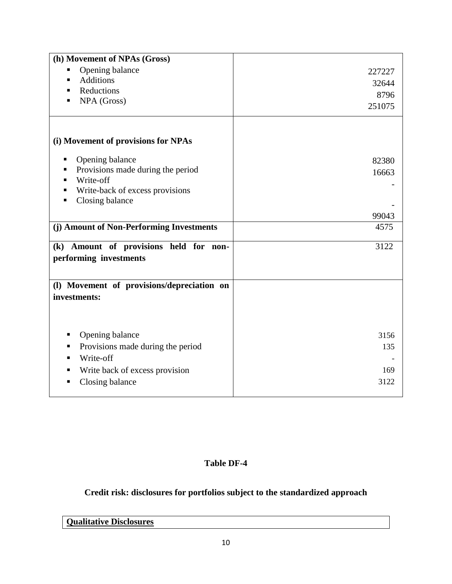| (h) Movement of NPAs (Gross)               |        |
|--------------------------------------------|--------|
| Opening balance<br>п                       | 227227 |
| <b>Additions</b><br>٠                      | 32644  |
| Reductions<br>٠                            | 8796   |
| NPA (Gross)<br>п                           | 251075 |
|                                            |        |
|                                            |        |
| (i) Movement of provisions for NPAs        |        |
| Opening balance<br>п                       | 82380  |
| Provisions made during the period<br>п     | 16663  |
| Write-off<br>п                             |        |
| Write-back of excess provisions<br>п       |        |
| Closing balance<br>п                       |        |
|                                            | 99043  |
| (j) Amount of Non-Performing Investments   | 4575   |
|                                            |        |
| (k) Amount of provisions held for non-     | 3122   |
| performing investments                     |        |
|                                            |        |
| (l) Movement of provisions/depreciation on |        |
| investments:                               |        |
|                                            |        |
|                                            |        |
| п                                          | 3156   |
| Opening balance                            |        |
| Provisions made during the period<br>п     | 135    |
| Write-off<br>п                             |        |
| Write back of excess provision<br>п        | 169    |
| Closing balance                            | 3122   |
|                                            |        |

### **Table DF-4**

## **Credit risk: disclosures for portfolios subject to the standardized approach**

# **Qualitative Disclosures**